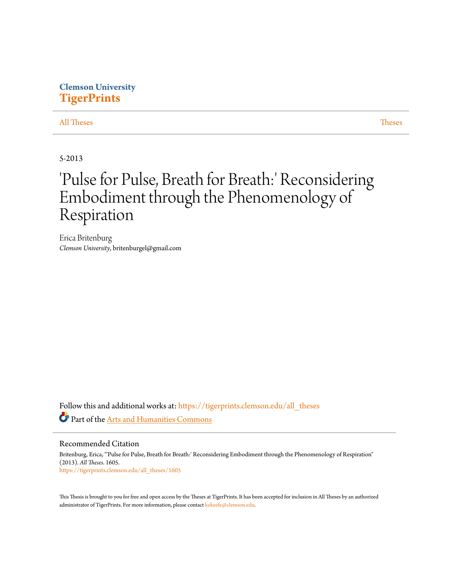# **Clemson University [TigerPrints](https://tigerprints.clemson.edu?utm_source=tigerprints.clemson.edu%2Fall_theses%2F1605&utm_medium=PDF&utm_campaign=PDFCoverPages)**

### [All Theses](https://tigerprints.clemson.edu/all_theses?utm_source=tigerprints.clemson.edu%2Fall_theses%2F1605&utm_medium=PDF&utm_campaign=PDFCoverPages) **[Theses](https://tigerprints.clemson.edu/theses?utm_source=tigerprints.clemson.edu%2Fall_theses%2F1605&utm_medium=PDF&utm_campaign=PDFCoverPages)**

5-2013

# 'Pulse for Pulse, Breath for Breath:' Reconsidering Embodiment through the Phenomenology of Respiration

Erica Britenburg *Clemson University*, britenburgel@gmail.com

Follow this and additional works at: [https://tigerprints.clemson.edu/all\\_theses](https://tigerprints.clemson.edu/all_theses?utm_source=tigerprints.clemson.edu%2Fall_theses%2F1605&utm_medium=PDF&utm_campaign=PDFCoverPages) Part of the [Arts and Humanities Commons](http://network.bepress.com/hgg/discipline/438?utm_source=tigerprints.clemson.edu%2Fall_theses%2F1605&utm_medium=PDF&utm_campaign=PDFCoverPages)

Recommended Citation

Britenburg, Erica, "'Pulse for Pulse, Breath for Breath:' Reconsidering Embodiment through the Phenomenology of Respiration" (2013). *All Theses*. 1605. [https://tigerprints.clemson.edu/all\\_theses/1605](https://tigerprints.clemson.edu/all_theses/1605?utm_source=tigerprints.clemson.edu%2Fall_theses%2F1605&utm_medium=PDF&utm_campaign=PDFCoverPages)

This Thesis is brought to you for free and open access by the Theses at TigerPrints. It has been accepted for inclusion in All Theses by an authorized administrator of TigerPrints. For more information, please contact [kokeefe@clemson.edu](mailto:kokeefe@clemson.edu).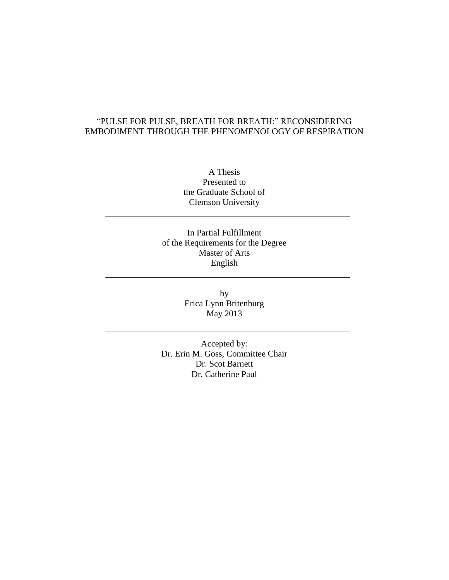## "PULSE FOR PULSE, BREATH FOR BREATH:" RECONSIDERING EMBODIMENT THROUGH THE PHENOMENOLOGY OF RESPIRATION

A Thesis Presented to the Graduate School of Clemson University

In Partial Fulfillment of the Requirements for the Degree Master of Arts English

> by Erica Lynn Britenburg May 2013

Accepted by: Dr. Erin M. Goss, Committee Chair Dr. Scot Barnett Dr. Catherine Paul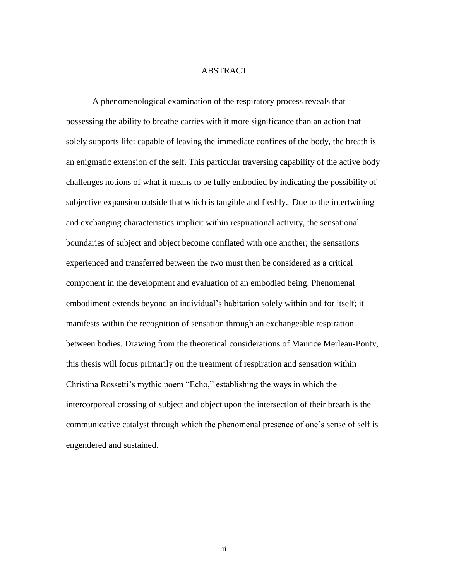#### ABSTRACT

A phenomenological examination of the respiratory process reveals that possessing the ability to breathe carries with it more significance than an action that solely supports life: capable of leaving the immediate confines of the body, the breath is an enigmatic extension of the self. This particular traversing capability of the active body challenges notions of what it means to be fully embodied by indicating the possibility of subjective expansion outside that which is tangible and fleshly. Due to the intertwining and exchanging characteristics implicit within respirational activity, the sensational boundaries of subject and object become conflated with one another; the sensations experienced and transferred between the two must then be considered as a critical component in the development and evaluation of an embodied being. Phenomenal embodiment extends beyond an individual's habitation solely within and for itself; it manifests within the recognition of sensation through an exchangeable respiration between bodies. Drawing from the theoretical considerations of Maurice Merleau-Ponty, this thesis will focus primarily on the treatment of respiration and sensation within Christina Rossetti's mythic poem "Echo," establishing the ways in which the intercorporeal crossing of subject and object upon the intersection of their breath is the communicative catalyst through which the phenomenal presence of one's sense of self is engendered and sustained.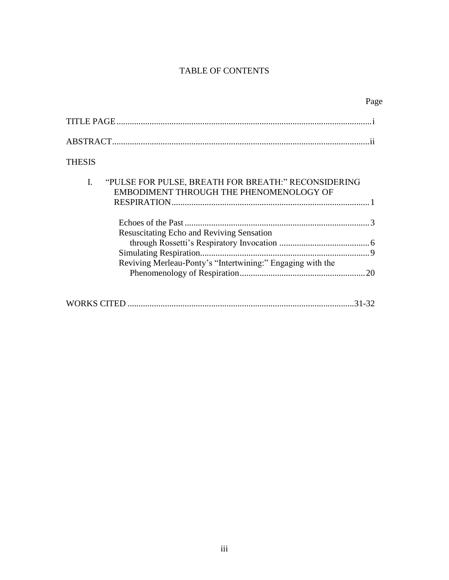# TABLE OF CONTENTS

|                                                                                                                | Page |
|----------------------------------------------------------------------------------------------------------------|------|
|                                                                                                                |      |
|                                                                                                                |      |
| <b>THESIS</b>                                                                                                  |      |
| I.<br>"PULSE FOR PULSE, BREATH FOR BREATH:" RECONSIDERING<br>EMBODIMENT THROUGH THE PHENOMENOLOGY OF           |      |
| <b>Resuscitating Echo and Reviving Sensation</b><br>Reviving Merleau-Ponty's "Intertwining:" Engaging with the |      |
| 31-32                                                                                                          |      |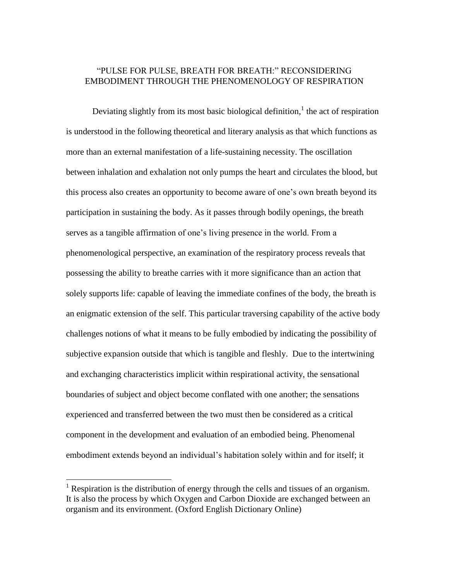### "PULSE FOR PULSE, BREATH FOR BREATH:" RECONSIDERING EMBODIMENT THROUGH THE PHENOMENOLOGY OF RESPIRATION

Deviating slightly from its most basic biological definition,<sup>1</sup> the act of respiration is understood in the following theoretical and literary analysis as that which functions as more than an external manifestation of a life-sustaining necessity. The oscillation between inhalation and exhalation not only pumps the heart and circulates the blood, but this process also creates an opportunity to become aware of one's own breath beyond its participation in sustaining the body. As it passes through bodily openings, the breath serves as a tangible affirmation of one's living presence in the world. From a phenomenological perspective, an examination of the respiratory process reveals that possessing the ability to breathe carries with it more significance than an action that solely supports life: capable of leaving the immediate confines of the body, the breath is an enigmatic extension of the self. This particular traversing capability of the active body challenges notions of what it means to be fully embodied by indicating the possibility of subjective expansion outside that which is tangible and fleshly. Due to the intertwining and exchanging characteristics implicit within respirational activity, the sensational boundaries of subject and object become conflated with one another; the sensations experienced and transferred between the two must then be considered as a critical component in the development and evaluation of an embodied being. Phenomenal embodiment extends beyond an individual's habitation solely within and for itself; it

 $\overline{a}$ 

<sup>&</sup>lt;sup>1</sup> Respiration is the distribution of energy through the cells and tissues of an organism. It is also the process by which Oxygen and Carbon Dioxide are exchanged between an organism and its environment. (Oxford English Dictionary Online)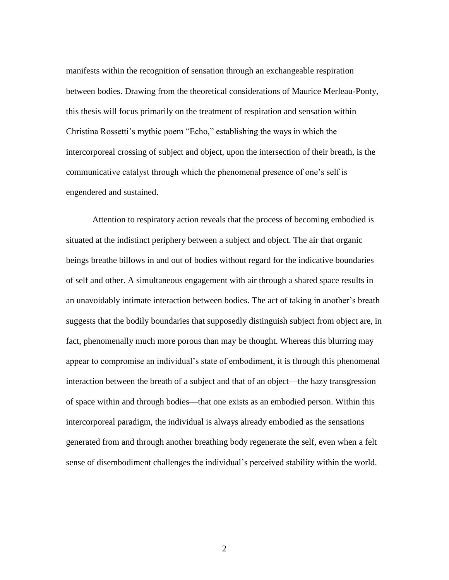manifests within the recognition of sensation through an exchangeable respiration between bodies. Drawing from the theoretical considerations of Maurice Merleau-Ponty, this thesis will focus primarily on the treatment of respiration and sensation within Christina Rossetti's mythic poem "Echo," establishing the ways in which the intercorporeal crossing of subject and object, upon the intersection of their breath, is the communicative catalyst through which the phenomenal presence of one's self is engendered and sustained.

Attention to respiratory action reveals that the process of becoming embodied is situated at the indistinct periphery between a subject and object. The air that organic beings breathe billows in and out of bodies without regard for the indicative boundaries of self and other. A simultaneous engagement with air through a shared space results in an unavoidably intimate interaction between bodies. The act of taking in another's breath suggests that the bodily boundaries that supposedly distinguish subject from object are, in fact, phenomenally much more porous than may be thought. Whereas this blurring may appear to compromise an individual's state of embodiment, it is through this phenomenal interaction between the breath of a subject and that of an object—the hazy transgression of space within and through bodies—that one exists as an embodied person. Within this intercorporeal paradigm, the individual is always already embodied as the sensations generated from and through another breathing body regenerate the self, even when a felt sense of disembodiment challenges the individual's perceived stability within the world.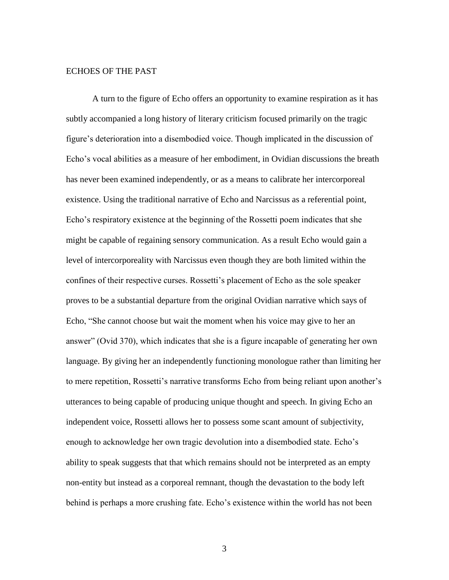#### ECHOES OF THE PAST

A turn to the figure of Echo offers an opportunity to examine respiration as it has subtly accompanied a long history of literary criticism focused primarily on the tragic figure's deterioration into a disembodied voice. Though implicated in the discussion of Echo's vocal abilities as a measure of her embodiment, in Ovidian discussions the breath has never been examined independently, or as a means to calibrate her intercorporeal existence. Using the traditional narrative of Echo and Narcissus as a referential point, Echo's respiratory existence at the beginning of the Rossetti poem indicates that she might be capable of regaining sensory communication. As a result Echo would gain a level of intercorporeality with Narcissus even though they are both limited within the confines of their respective curses. Rossetti's placement of Echo as the sole speaker proves to be a substantial departure from the original Ovidian narrative which says of Echo, "She cannot choose but wait the moment when his voice may give to her an answer" (Ovid 370), which indicates that she is a figure incapable of generating her own language. By giving her an independently functioning monologue rather than limiting her to mere repetition, Rossetti's narrative transforms Echo from being reliant upon another's utterances to being capable of producing unique thought and speech. In giving Echo an independent voice, Rossetti allows her to possess some scant amount of subjectivity, enough to acknowledge her own tragic devolution into a disembodied state. Echo's ability to speak suggests that that which remains should not be interpreted as an empty non-entity but instead as a corporeal remnant, though the devastation to the body left behind is perhaps a more crushing fate. Echo's existence within the world has not been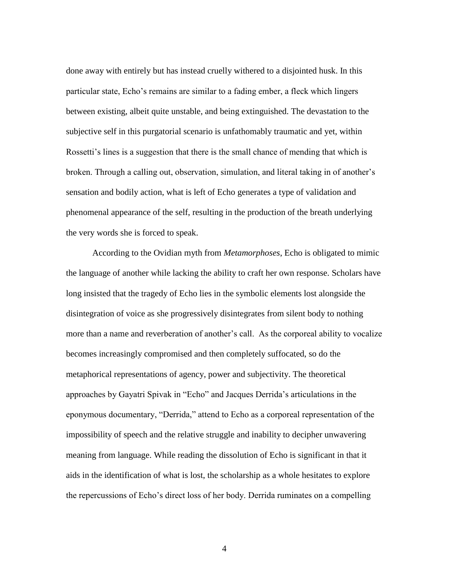done away with entirely but has instead cruelly withered to a disjointed husk. In this particular state, Echo's remains are similar to a fading ember, a fleck which lingers between existing, albeit quite unstable, and being extinguished. The devastation to the subjective self in this purgatorial scenario is unfathomably traumatic and yet, within Rossetti's lines is a suggestion that there is the small chance of mending that which is broken. Through a calling out, observation, simulation, and literal taking in of another's sensation and bodily action, what is left of Echo generates a type of validation and phenomenal appearance of the self, resulting in the production of the breath underlying the very words she is forced to speak.

According to the Ovidian myth from *Metamorphoses*, Echo is obligated to mimic the language of another while lacking the ability to craft her own response. Scholars have long insisted that the tragedy of Echo lies in the symbolic elements lost alongside the disintegration of voice as she progressively disintegrates from silent body to nothing more than a name and reverberation of another's call. As the corporeal ability to vocalize becomes increasingly compromised and then completely suffocated, so do the metaphorical representations of agency, power and subjectivity. The theoretical approaches by Gayatri Spivak in "Echo" and Jacques Derrida's articulations in the eponymous documentary, "Derrida," attend to Echo as a corporeal representation of the impossibility of speech and the relative struggle and inability to decipher unwavering meaning from language. While reading the dissolution of Echo is significant in that it aids in the identification of what is lost, the scholarship as a whole hesitates to explore the repercussions of Echo's direct loss of her body. Derrida ruminates on a compelling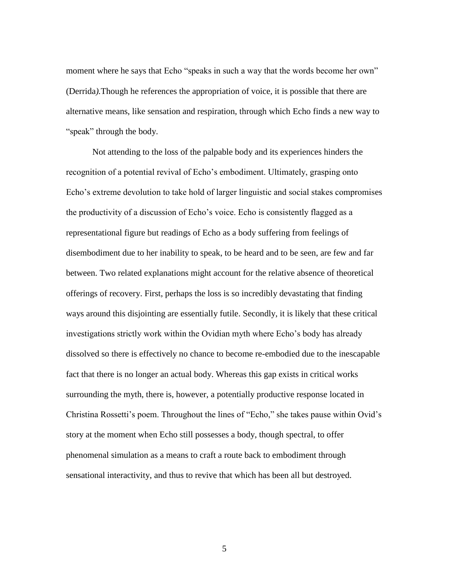moment where he says that Echo "speaks in such a way that the words become her own" (Derrida*).*Though he references the appropriation of voice, it is possible that there are alternative means, like sensation and respiration, through which Echo finds a new way to "speak" through the body.

Not attending to the loss of the palpable body and its experiences hinders the recognition of a potential revival of Echo's embodiment. Ultimately, grasping onto Echo's extreme devolution to take hold of larger linguistic and social stakes compromises the productivity of a discussion of Echo's voice. Echo is consistently flagged as a representational figure but readings of Echo as a body suffering from feelings of disembodiment due to her inability to speak, to be heard and to be seen, are few and far between. Two related explanations might account for the relative absence of theoretical offerings of recovery. First, perhaps the loss is so incredibly devastating that finding ways around this disjointing are essentially futile. Secondly, it is likely that these critical investigations strictly work within the Ovidian myth where Echo's body has already dissolved so there is effectively no chance to become re-embodied due to the inescapable fact that there is no longer an actual body. Whereas this gap exists in critical works surrounding the myth, there is, however, a potentially productive response located in Christina Rossetti's poem. Throughout the lines of "Echo," she takes pause within Ovid's story at the moment when Echo still possesses a body, though spectral, to offer phenomenal simulation as a means to craft a route back to embodiment through sensational interactivity, and thus to revive that which has been all but destroyed.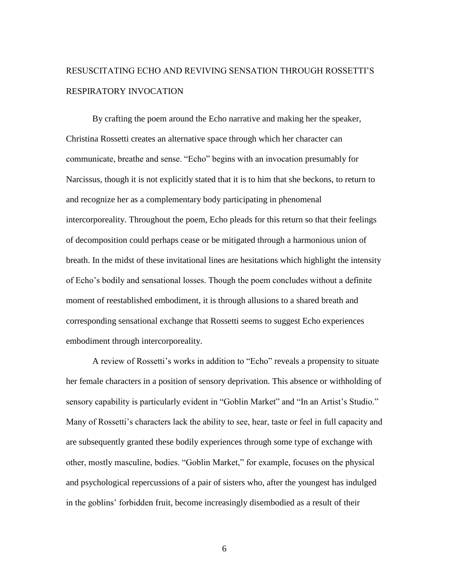# RESUSCITATING ECHO AND REVIVING SENSATION THROUGH ROSSETTI'S RESPIRATORY INVOCATION

By crafting the poem around the Echo narrative and making her the speaker, Christina Rossetti creates an alternative space through which her character can communicate, breathe and sense. "Echo" begins with an invocation presumably for Narcissus, though it is not explicitly stated that it is to him that she beckons, to return to and recognize her as a complementary body participating in phenomenal intercorporeality. Throughout the poem, Echo pleads for this return so that their feelings of decomposition could perhaps cease or be mitigated through a harmonious union of breath. In the midst of these invitational lines are hesitations which highlight the intensity of Echo's bodily and sensational losses. Though the poem concludes without a definite moment of reestablished embodiment, it is through allusions to a shared breath and corresponding sensational exchange that Rossetti seems to suggest Echo experiences embodiment through intercorporeality.

A review of Rossetti's works in addition to "Echo" reveals a propensity to situate her female characters in a position of sensory deprivation. This absence or withholding of sensory capability is particularly evident in "Goblin Market" and "In an Artist's Studio." Many of Rossetti's characters lack the ability to see, hear, taste or feel in full capacity and are subsequently granted these bodily experiences through some type of exchange with other, mostly masculine, bodies. "Goblin Market," for example, focuses on the physical and psychological repercussions of a pair of sisters who, after the youngest has indulged in the goblins' forbidden fruit, become increasingly disembodied as a result of their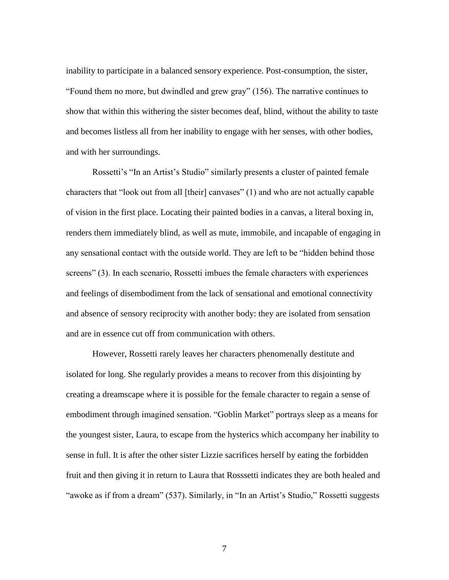inability to participate in a balanced sensory experience. Post-consumption, the sister, "Found them no more, but dwindled and grew gray" (156). The narrative continues to show that within this withering the sister becomes deaf, blind, without the ability to taste and becomes listless all from her inability to engage with her senses, with other bodies, and with her surroundings.

Rossetti's "In an Artist's Studio" similarly presents a cluster of painted female characters that "look out from all [their] canvases" (1) and who are not actually capable of vision in the first place. Locating their painted bodies in a canvas, a literal boxing in, renders them immediately blind, as well as mute, immobile, and incapable of engaging in any sensational contact with the outside world. They are left to be "hidden behind those screens" (3). In each scenario, Rossetti imbues the female characters with experiences and feelings of disembodiment from the lack of sensational and emotional connectivity and absence of sensory reciprocity with another body: they are isolated from sensation and are in essence cut off from communication with others.

However, Rossetti rarely leaves her characters phenomenally destitute and isolated for long. She regularly provides a means to recover from this disjointing by creating a dreamscape where it is possible for the female character to regain a sense of embodiment through imagined sensation. "Goblin Market" portrays sleep as a means for the youngest sister, Laura, to escape from the hysterics which accompany her inability to sense in full. It is after the other sister Lizzie sacrifices herself by eating the forbidden fruit and then giving it in return to Laura that Rosssetti indicates they are both healed and "awoke as if from a dream" (537). Similarly, in "In an Artist's Studio," Rossetti suggests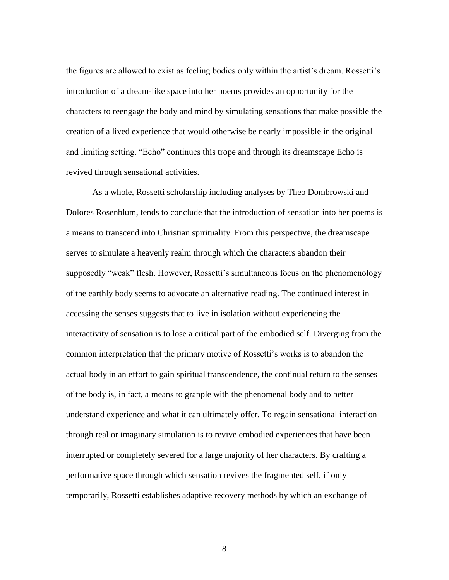the figures are allowed to exist as feeling bodies only within the artist's dream. Rossetti's introduction of a dream-like space into her poems provides an opportunity for the characters to reengage the body and mind by simulating sensations that make possible the creation of a lived experience that would otherwise be nearly impossible in the original and limiting setting. "Echo" continues this trope and through its dreamscape Echo is revived through sensational activities.

As a whole, Rossetti scholarship including analyses by Theo Dombrowski and Dolores Rosenblum, tends to conclude that the introduction of sensation into her poems is a means to transcend into Christian spirituality. From this perspective, the dreamscape serves to simulate a heavenly realm through which the characters abandon their supposedly "weak" flesh. However, Rossetti's simultaneous focus on the phenomenology of the earthly body seems to advocate an alternative reading. The continued interest in accessing the senses suggests that to live in isolation without experiencing the interactivity of sensation is to lose a critical part of the embodied self. Diverging from the common interpretation that the primary motive of Rossetti's works is to abandon the actual body in an effort to gain spiritual transcendence, the continual return to the senses of the body is, in fact, a means to grapple with the phenomenal body and to better understand experience and what it can ultimately offer. To regain sensational interaction through real or imaginary simulation is to revive embodied experiences that have been interrupted or completely severed for a large majority of her characters. By crafting a performative space through which sensation revives the fragmented self, if only temporarily, Rossetti establishes adaptive recovery methods by which an exchange of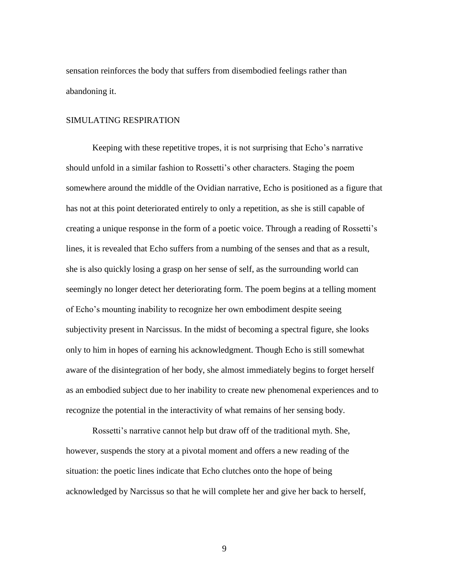sensation reinforces the body that suffers from disembodied feelings rather than abandoning it.

#### SIMULATING RESPIRATION

Keeping with these repetitive tropes, it is not surprising that Echo's narrative should unfold in a similar fashion to Rossetti's other characters. Staging the poem somewhere around the middle of the Ovidian narrative, Echo is positioned as a figure that has not at this point deteriorated entirely to only a repetition, as she is still capable of creating a unique response in the form of a poetic voice. Through a reading of Rossetti's lines, it is revealed that Echo suffers from a numbing of the senses and that as a result, she is also quickly losing a grasp on her sense of self, as the surrounding world can seemingly no longer detect her deteriorating form. The poem begins at a telling moment of Echo's mounting inability to recognize her own embodiment despite seeing subjectivity present in Narcissus. In the midst of becoming a spectral figure, she looks only to him in hopes of earning his acknowledgment. Though Echo is still somewhat aware of the disintegration of her body, she almost immediately begins to forget herself as an embodied subject due to her inability to create new phenomenal experiences and to recognize the potential in the interactivity of what remains of her sensing body.

Rossetti's narrative cannot help but draw off of the traditional myth. She, however, suspends the story at a pivotal moment and offers a new reading of the situation: the poetic lines indicate that Echo clutches onto the hope of being acknowledged by Narcissus so that he will complete her and give her back to herself,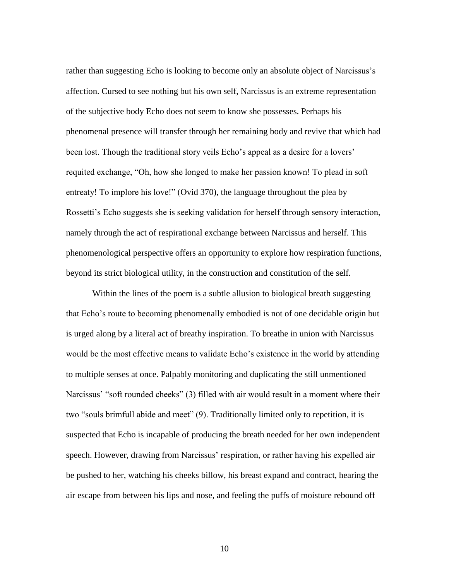rather than suggesting Echo is looking to become only an absolute object of Narcissus's affection. Cursed to see nothing but his own self, Narcissus is an extreme representation of the subjective body Echo does not seem to know she possesses. Perhaps his phenomenal presence will transfer through her remaining body and revive that which had been lost. Though the traditional story veils Echo's appeal as a desire for a lovers' requited exchange, "Oh, how she longed to make her passion known! To plead in soft entreaty! To implore his love!" (Ovid 370), the language throughout the plea by Rossetti's Echo suggests she is seeking validation for herself through sensory interaction, namely through the act of respirational exchange between Narcissus and herself. This phenomenological perspective offers an opportunity to explore how respiration functions, beyond its strict biological utility, in the construction and constitution of the self.

Within the lines of the poem is a subtle allusion to biological breath suggesting that Echo's route to becoming phenomenally embodied is not of one decidable origin but is urged along by a literal act of breathy inspiration. To breathe in union with Narcissus would be the most effective means to validate Echo's existence in the world by attending to multiple senses at once. Palpably monitoring and duplicating the still unmentioned Narcissus' "soft rounded cheeks" (3) filled with air would result in a moment where their two "souls brimfull abide and meet" (9). Traditionally limited only to repetition, it is suspected that Echo is incapable of producing the breath needed for her own independent speech. However, drawing from Narcissus' respiration, or rather having his expelled air be pushed to her, watching his cheeks billow, his breast expand and contract, hearing the air escape from between his lips and nose, and feeling the puffs of moisture rebound off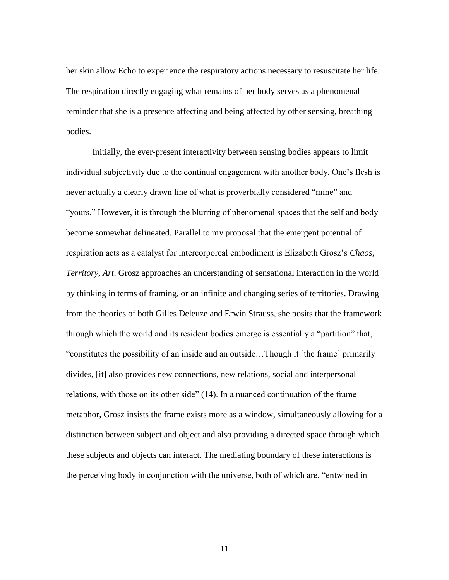her skin allow Echo to experience the respiratory actions necessary to resuscitate her life. The respiration directly engaging what remains of her body serves as a phenomenal reminder that she is a presence affecting and being affected by other sensing, breathing bodies.

Initially, the ever-present interactivity between sensing bodies appears to limit individual subjectivity due to the continual engagement with another body. One's flesh is never actually a clearly drawn line of what is proverbially considered "mine" and "yours." However, it is through the blurring of phenomenal spaces that the self and body become somewhat delineated. Parallel to my proposal that the emergent potential of respiration acts as a catalyst for intercorporeal embodiment is Elizabeth Grosz's *Chaos, Territory, Art*. Grosz approaches an understanding of sensational interaction in the world by thinking in terms of framing, or an infinite and changing series of territories. Drawing from the theories of both Gilles Deleuze and Erwin Strauss, she posits that the framework through which the world and its resident bodies emerge is essentially a "partition" that, "constitutes the possibility of an inside and an outside…Though it [the frame] primarily divides, [it] also provides new connections, new relations, social and interpersonal relations, with those on its other side" (14). In a nuanced continuation of the frame metaphor, Grosz insists the frame exists more as a window, simultaneously allowing for a distinction between subject and object and also providing a directed space through which these subjects and objects can interact. The mediating boundary of these interactions is the perceiving body in conjunction with the universe, both of which are, "entwined in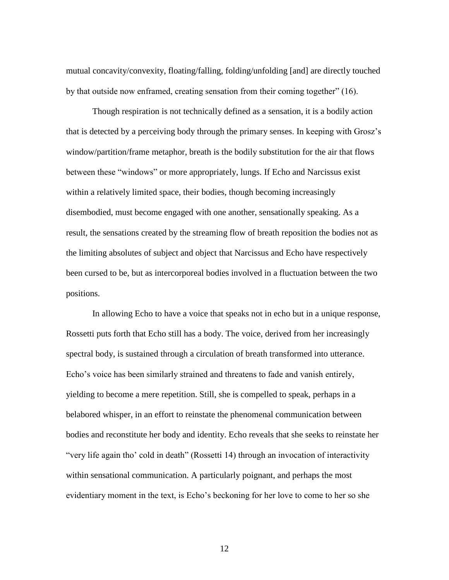mutual concavity/convexity, floating/falling, folding/unfolding [and] are directly touched by that outside now enframed, creating sensation from their coming together" (16).

Though respiration is not technically defined as a sensation, it is a bodily action that is detected by a perceiving body through the primary senses. In keeping with Grosz's window/partition/frame metaphor, breath is the bodily substitution for the air that flows between these "windows" or more appropriately, lungs. If Echo and Narcissus exist within a relatively limited space, their bodies, though becoming increasingly disembodied, must become engaged with one another, sensationally speaking. As a result, the sensations created by the streaming flow of breath reposition the bodies not as the limiting absolutes of subject and object that Narcissus and Echo have respectively been cursed to be, but as intercorporeal bodies involved in a fluctuation between the two positions.

In allowing Echo to have a voice that speaks not in echo but in a unique response, Rossetti puts forth that Echo still has a body. The voice, derived from her increasingly spectral body, is sustained through a circulation of breath transformed into utterance. Echo's voice has been similarly strained and threatens to fade and vanish entirely, yielding to become a mere repetition. Still, she is compelled to speak, perhaps in a belabored whisper, in an effort to reinstate the phenomenal communication between bodies and reconstitute her body and identity. Echo reveals that she seeks to reinstate her "very life again tho' cold in death" (Rossetti 14) through an invocation of interactivity within sensational communication. A particularly poignant, and perhaps the most evidentiary moment in the text, is Echo's beckoning for her love to come to her so she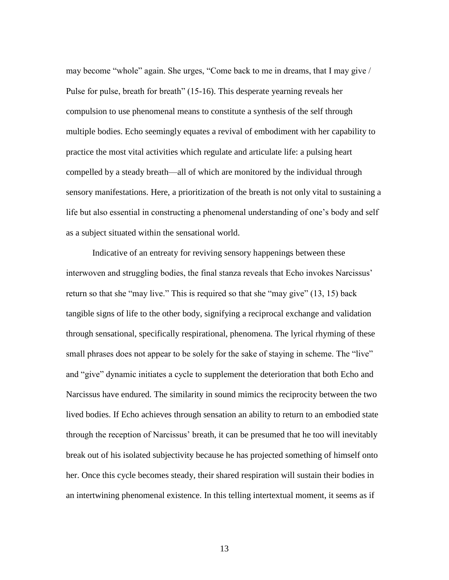may become "whole" again. She urges, "Come back to me in dreams, that I may give / Pulse for pulse, breath for breath" (15-16). This desperate yearning reveals her compulsion to use phenomenal means to constitute a synthesis of the self through multiple bodies. Echo seemingly equates a revival of embodiment with her capability to practice the most vital activities which regulate and articulate life: a pulsing heart compelled by a steady breath—all of which are monitored by the individual through sensory manifestations. Here, a prioritization of the breath is not only vital to sustaining a life but also essential in constructing a phenomenal understanding of one's body and self as a subject situated within the sensational world.

Indicative of an entreaty for reviving sensory happenings between these interwoven and struggling bodies, the final stanza reveals that Echo invokes Narcissus' return so that she "may live." This is required so that she "may give" (13, 15) back tangible signs of life to the other body, signifying a reciprocal exchange and validation through sensational, specifically respirational, phenomena. The lyrical rhyming of these small phrases does not appear to be solely for the sake of staying in scheme. The "live" and "give" dynamic initiates a cycle to supplement the deterioration that both Echo and Narcissus have endured. The similarity in sound mimics the reciprocity between the two lived bodies. If Echo achieves through sensation an ability to return to an embodied state through the reception of Narcissus' breath, it can be presumed that he too will inevitably break out of his isolated subjectivity because he has projected something of himself onto her. Once this cycle becomes steady, their shared respiration will sustain their bodies in an intertwining phenomenal existence. In this telling intertextual moment, it seems as if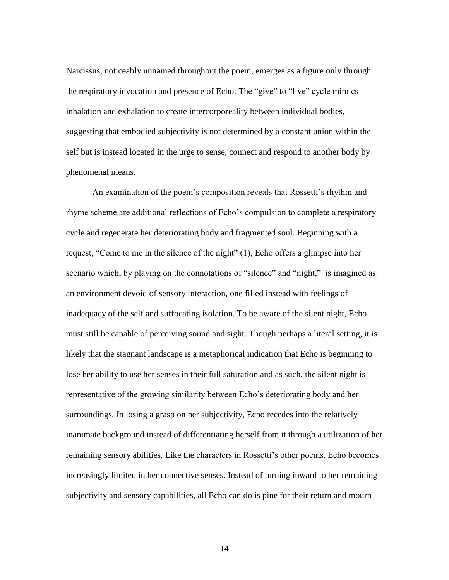Narcissus, noticeably unnamed throughout the poem, emerges as a figure only through the respiratory invocation and presence of Echo. The "give" to "live" cycle mimics inhalation and exhalation to create intercorporeality between individual bodies, suggesting that embodied subjectivity is not determined by a constant union within the self but is instead located in the urge to sense, connect and respond to another body by phenomenal means.

An examination of the poem's composition reveals that Rossetti's rhythm and rhyme scheme are additional reflections of Echo's compulsion to complete a respiratory cycle and regenerate her deteriorating body and fragmented soul. Beginning with a request, "Come to me in the silence of the night" (1), Echo offers a glimpse into her scenario which, by playing on the connotations of "silence" and "night," is imagined as an environment devoid of sensory interaction, one filled instead with feelings of inadequacy of the self and suffocating isolation. To be aware of the silent night, Echo must still be capable of perceiving sound and sight. Though perhaps a literal setting, it is likely that the stagnant landscape is a metaphorical indication that Echo is beginning to lose her ability to use her senses in their full saturation and as such, the silent night is representative of the growing similarity between Echo's deteriorating body and her surroundings. In losing a grasp on her subjectivity, Echo recedes into the relatively inanimate background instead of differentiating herself from it through a utilization of her remaining sensory abilities. Like the characters in Rossetti's other poems, Echo becomes increasingly limited in her connective senses. Instead of turning inward to her remaining subjectivity and sensory capabilities, all Echo can do is pine for their return and mourn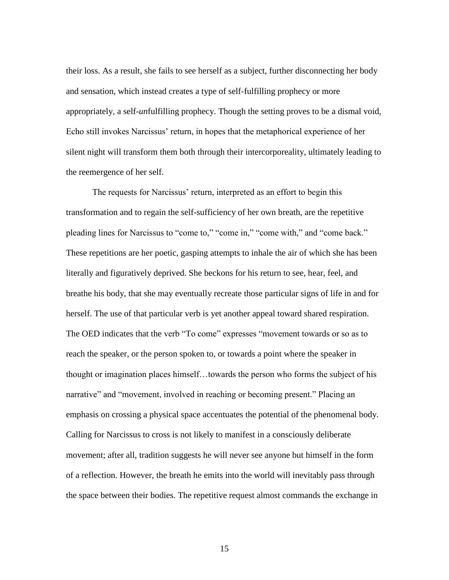their loss. As a result, she fails to see herself as a subject, further disconnecting her body and sensation, which instead creates a type of self-fulfilling prophecy or more appropriately, a self-*un*fulfilling prophecy. Though the setting proves to be a dismal void, Echo still invokes Narcissus' return, in hopes that the metaphorical experience of her silent night will transform them both through their intercorporeality, ultimately leading to the reemergence of her self.

The requests for Narcissus' return, interpreted as an effort to begin this transformation and to regain the self-sufficiency of her own breath, are the repetitive pleading lines for Narcissus to "come to," "come in," "come with," and "come back." These repetitions are her poetic, gasping attempts to inhale the air of which she has been literally and figuratively deprived. She beckons for his return to see, hear, feel, and breathe his body, that she may eventually recreate those particular signs of life in and for herself. The use of that particular verb is yet another appeal toward shared respiration. The OED indicates that the verb "To come" expresses "movement towards or so as to reach the speaker, or the person spoken to, or towards a point where the speaker in thought or imagination places himself…towards the person who forms the subject of his narrative" and "movement, involved in reaching or becoming present." Placing an emphasis on crossing a physical space accentuates the potential of the phenomenal body. Calling for Narcissus to cross is not likely to manifest in a consciously deliberate movement; after all, tradition suggests he will never see anyone but himself in the form of a reflection. However, the breath he emits into the world will inevitably pass through the space between their bodies. The repetitive request almost commands the exchange in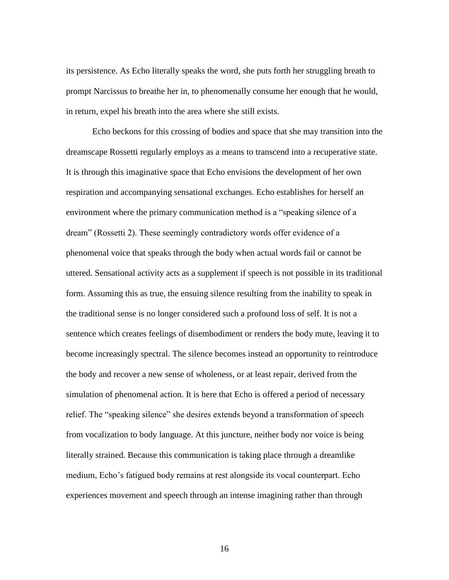its persistence. As Echo literally speaks the word, she puts forth her struggling breath to prompt Narcissus to breathe her in, to phenomenally consume her enough that he would, in return, expel his breath into the area where she still exists.

Echo beckons for this crossing of bodies and space that she may transition into the dreamscape Rossetti regularly employs as a means to transcend into a recuperative state. It is through this imaginative space that Echo envisions the development of her own respiration and accompanying sensational exchanges. Echo establishes for herself an environment where the primary communication method is a "speaking silence of a dream" (Rossetti 2). These seemingly contradictory words offer evidence of a phenomenal voice that speaks through the body when actual words fail or cannot be uttered. Sensational activity acts as a supplement if speech is not possible in its traditional form. Assuming this as true, the ensuing silence resulting from the inability to speak in the traditional sense is no longer considered such a profound loss of self. It is not a sentence which creates feelings of disembodiment or renders the body mute, leaving it to become increasingly spectral. The silence becomes instead an opportunity to reintroduce the body and recover a new sense of wholeness, or at least repair, derived from the simulation of phenomenal action. It is here that Echo is offered a period of necessary relief. The "speaking silence" she desires extends beyond a transformation of speech from vocalization to body language. At this juncture, neither body nor voice is being literally strained. Because this communication is taking place through a dreamlike medium, Echo's fatigued body remains at rest alongside its vocal counterpart. Echo experiences movement and speech through an intense imagining rather than through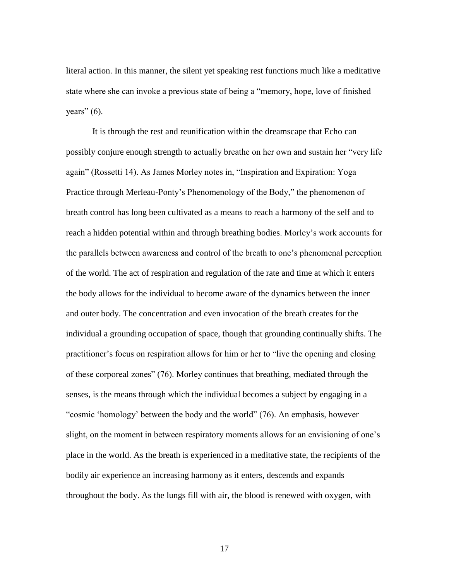literal action. In this manner, the silent yet speaking rest functions much like a meditative state where she can invoke a previous state of being a "memory, hope, love of finished years"  $(6)$ .

It is through the rest and reunification within the dreamscape that Echo can possibly conjure enough strength to actually breathe on her own and sustain her "very life again" (Rossetti 14). As James Morley notes in, "Inspiration and Expiration: Yoga Practice through Merleau-Ponty's Phenomenology of the Body," the phenomenon of breath control has long been cultivated as a means to reach a harmony of the self and to reach a hidden potential within and through breathing bodies. Morley's work accounts for the parallels between awareness and control of the breath to one's phenomenal perception of the world. The act of respiration and regulation of the rate and time at which it enters the body allows for the individual to become aware of the dynamics between the inner and outer body. The concentration and even invocation of the breath creates for the individual a grounding occupation of space, though that grounding continually shifts. The practitioner's focus on respiration allows for him or her to "live the opening and closing of these corporeal zones" (76). Morley continues that breathing, mediated through the senses, is the means through which the individual becomes a subject by engaging in a "cosmic 'homology' between the body and the world" (76). An emphasis, however slight, on the moment in between respiratory moments allows for an envisioning of one's place in the world. As the breath is experienced in a meditative state, the recipients of the bodily air experience an increasing harmony as it enters, descends and expands throughout the body. As the lungs fill with air, the blood is renewed with oxygen, with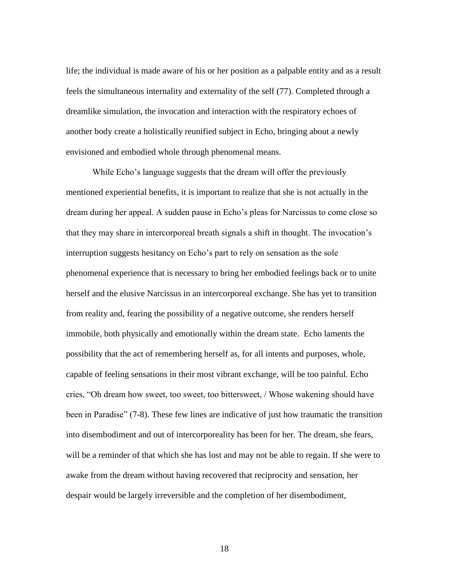life; the individual is made aware of his or her position as a palpable entity and as a result feels the simultaneous internality and externality of the self (77). Completed through a dreamlike simulation, the invocation and interaction with the respiratory echoes of another body create a holistically reunified subject in Echo, bringing about a newly envisioned and embodied whole through phenomenal means.

While Echo's language suggests that the dream will offer the previously mentioned experiential benefits, it is important to realize that she is not actually in the dream during her appeal. A sudden pause in Echo's pleas for Narcissus to come close so that they may share in intercorporeal breath signals a shift in thought. The invocation's interruption suggests hesitancy on Echo's part to rely on sensation as the sole phenomenal experience that is necessary to bring her embodied feelings back or to unite herself and the elusive Narcissus in an intercorporeal exchange. She has yet to transition from reality and, fearing the possibility of a negative outcome, she renders herself immobile, both physically and emotionally within the dream state. Echo laments the possibility that the act of remembering herself as, for all intents and purposes, whole, capable of feeling sensations in their most vibrant exchange, will be too painful. Echo cries, "Oh dream how sweet, too sweet, too bittersweet, / Whose wakening should have been in Paradise" (7-8). These few lines are indicative of just how traumatic the transition into disembodiment and out of intercorporeality has been for her. The dream, she fears, will be a reminder of that which she has lost and may not be able to regain. If she were to awake from the dream without having recovered that reciprocity and sensation, her despair would be largely irreversible and the completion of her disembodiment,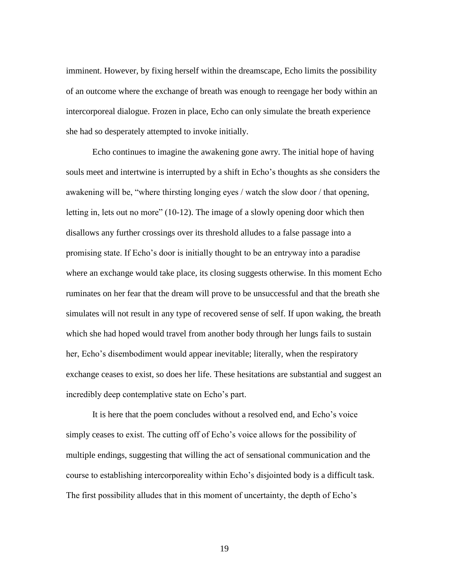imminent. However, by fixing herself within the dreamscape, Echo limits the possibility of an outcome where the exchange of breath was enough to reengage her body within an intercorporeal dialogue. Frozen in place, Echo can only simulate the breath experience she had so desperately attempted to invoke initially.

Echo continues to imagine the awakening gone awry. The initial hope of having souls meet and intertwine is interrupted by a shift in Echo's thoughts as she considers the awakening will be, "where thirsting longing eyes / watch the slow door / that opening, letting in, lets out no more" (10-12). The image of a slowly opening door which then disallows any further crossings over its threshold alludes to a false passage into a promising state. If Echo's door is initially thought to be an entryway into a paradise where an exchange would take place, its closing suggests otherwise. In this moment Echo ruminates on her fear that the dream will prove to be unsuccessful and that the breath she simulates will not result in any type of recovered sense of self. If upon waking, the breath which she had hoped would travel from another body through her lungs fails to sustain her, Echo's disembodiment would appear inevitable; literally, when the respiratory exchange ceases to exist, so does her life. These hesitations are substantial and suggest an incredibly deep contemplative state on Echo's part.

It is here that the poem concludes without a resolved end, and Echo's voice simply ceases to exist. The cutting off of Echo's voice allows for the possibility of multiple endings, suggesting that willing the act of sensational communication and the course to establishing intercorporeality within Echo's disjointed body is a difficult task. The first possibility alludes that in this moment of uncertainty, the depth of Echo's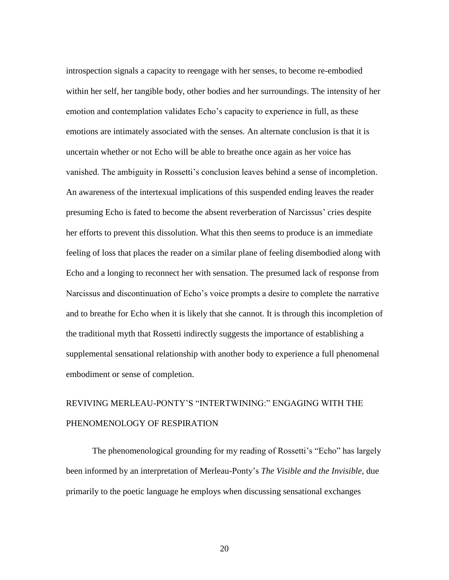introspection signals a capacity to reengage with her senses, to become re-embodied within her self, her tangible body, other bodies and her surroundings. The intensity of her emotion and contemplation validates Echo's capacity to experience in full, as these emotions are intimately associated with the senses. An alternate conclusion is that it is uncertain whether or not Echo will be able to breathe once again as her voice has vanished. The ambiguity in Rossetti's conclusion leaves behind a sense of incompletion. An awareness of the intertexual implications of this suspended ending leaves the reader presuming Echo is fated to become the absent reverberation of Narcissus' cries despite her efforts to prevent this dissolution. What this then seems to produce is an immediate feeling of loss that places the reader on a similar plane of feeling disembodied along with Echo and a longing to reconnect her with sensation. The presumed lack of response from Narcissus and discontinuation of Echo's voice prompts a desire to complete the narrative and to breathe for Echo when it is likely that she cannot. It is through this incompletion of the traditional myth that Rossetti indirectly suggests the importance of establishing a supplemental sensational relationship with another body to experience a full phenomenal embodiment or sense of completion.

# REVIVING MERLEAU-PONTY'S "INTERTWINING:" ENGAGING WITH THE PHENOMENOLOGY OF RESPIRATION

The phenomenological grounding for my reading of Rossetti's "Echo" has largely been informed by an interpretation of Merleau-Ponty's *The Visible and the Invisible*, due primarily to the poetic language he employs when discussing sensational exchanges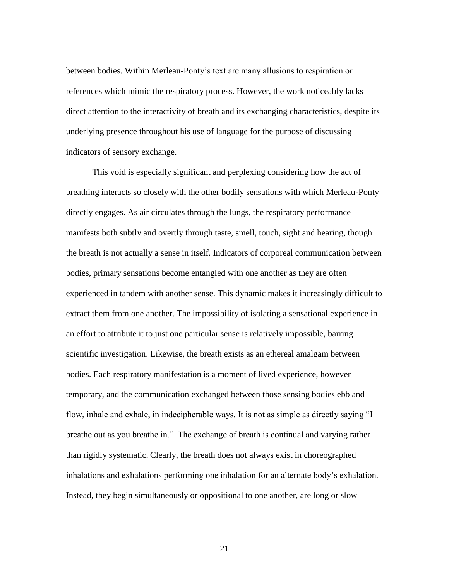between bodies. Within Merleau-Ponty's text are many allusions to respiration or references which mimic the respiratory process. However, the work noticeably lacks direct attention to the interactivity of breath and its exchanging characteristics, despite its underlying presence throughout his use of language for the purpose of discussing indicators of sensory exchange.

This void is especially significant and perplexing considering how the act of breathing interacts so closely with the other bodily sensations with which Merleau-Ponty directly engages. As air circulates through the lungs, the respiratory performance manifests both subtly and overtly through taste, smell, touch, sight and hearing, though the breath is not actually a sense in itself. Indicators of corporeal communication between bodies, primary sensations become entangled with one another as they are often experienced in tandem with another sense. This dynamic makes it increasingly difficult to extract them from one another. The impossibility of isolating a sensational experience in an effort to attribute it to just one particular sense is relatively impossible, barring scientific investigation. Likewise, the breath exists as an ethereal amalgam between bodies. Each respiratory manifestation is a moment of lived experience, however temporary, and the communication exchanged between those sensing bodies ebb and flow, inhale and exhale, in indecipherable ways. It is not as simple as directly saying "I breathe out as you breathe in." The exchange of breath is continual and varying rather than rigidly systematic. Clearly, the breath does not always exist in choreographed inhalations and exhalations performing one inhalation for an alternate body's exhalation. Instead, they begin simultaneously or oppositional to one another, are long or slow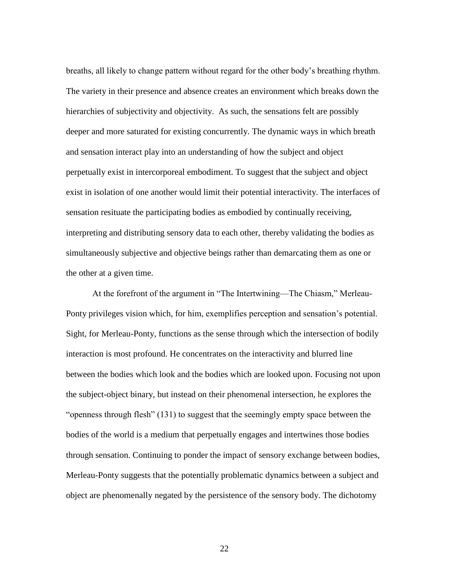breaths, all likely to change pattern without regard for the other body's breathing rhythm. The variety in their presence and absence creates an environment which breaks down the hierarchies of subjectivity and objectivity. As such, the sensations felt are possibly deeper and more saturated for existing concurrently. The dynamic ways in which breath and sensation interact play into an understanding of how the subject and object perpetually exist in intercorporeal embodiment. To suggest that the subject and object exist in isolation of one another would limit their potential interactivity. The interfaces of sensation resituate the participating bodies as embodied by continually receiving, interpreting and distributing sensory data to each other, thereby validating the bodies as simultaneously subjective and objective beings rather than demarcating them as one or the other at a given time.

At the forefront of the argument in "The Intertwining—The Chiasm," Merleau-Ponty privileges vision which, for him, exemplifies perception and sensation's potential. Sight, for Merleau-Ponty, functions as the sense through which the intersection of bodily interaction is most profound. He concentrates on the interactivity and blurred line between the bodies which look and the bodies which are looked upon. Focusing not upon the subject-object binary, but instead on their phenomenal intersection, he explores the "openness through flesh" (131) to suggest that the seemingly empty space between the bodies of the world is a medium that perpetually engages and intertwines those bodies through sensation. Continuing to ponder the impact of sensory exchange between bodies, Merleau-Ponty suggests that the potentially problematic dynamics between a subject and object are phenomenally negated by the persistence of the sensory body. The dichotomy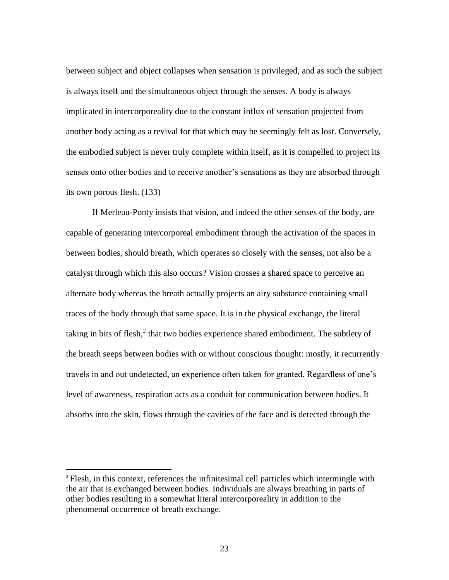between subject and object collapses when sensation is privileged, and as such the subject is always itself and the simultaneous object through the senses. A body is always implicated in intercorporeality due to the constant influx of sensation projected from another body acting as a revival for that which may be seemingly felt as lost. Conversely, the embodied subject is never truly complete within itself, as it is compelled to project its senses onto other bodies and to receive another's sensations as they are absorbed through its own porous flesh. (133)

If Merleau-Ponty insists that vision, and indeed the other senses of the body, are capable of generating intercorporeal embodiment through the activation of the spaces in between bodies, should breath, which operates so closely with the senses, not also be a catalyst through which this also occurs? Vision crosses a shared space to perceive an alternate body whereas the breath actually projects an airy substance containing small traces of the body through that same space. It is in the physical exchange, the literal taking in bits of flesh, $^2$  that two bodies experience shared embodiment. The subtlety of the breath seeps between bodies with or without conscious thought: mostly, it recurrently travels in and out undetected, an experience often taken for granted. Regardless of one's level of awareness, respiration acts as a conduit for communication between bodies. It absorbs into the skin, flows through the cavities of the face and is detected through the

 $\overline{a}$ 

<sup>&</sup>lt;sup>2</sup> Flesh, in this context, references the infinitesimal cell particles which intermingle with the air that is exchanged between bodies. Individuals are always breathing in parts of other bodies resulting in a somewhat literal intercorporeality in addition to the phenomenal occurrence of breath exchange.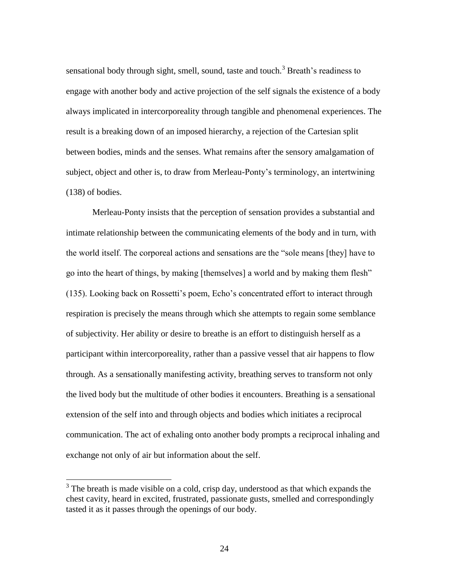sensational body through sight, smell, sound, taste and touch.<sup>3</sup> Breath's readiness to engage with another body and active projection of the self signals the existence of a body always implicated in intercorporeality through tangible and phenomenal experiences. The result is a breaking down of an imposed hierarchy, a rejection of the Cartesian split between bodies, minds and the senses. What remains after the sensory amalgamation of subject, object and other is, to draw from Merleau-Ponty's terminology, an intertwining (138) of bodies.

Merleau-Ponty insists that the perception of sensation provides a substantial and intimate relationship between the communicating elements of the body and in turn, with the world itself. The corporeal actions and sensations are the "sole means [they] have to go into the heart of things, by making [themselves] a world and by making them flesh" (135). Looking back on Rossetti's poem, Echo's concentrated effort to interact through respiration is precisely the means through which she attempts to regain some semblance of subjectivity. Her ability or desire to breathe is an effort to distinguish herself as a participant within intercorporeality, rather than a passive vessel that air happens to flow through. As a sensationally manifesting activity, breathing serves to transform not only the lived body but the multitude of other bodies it encounters. Breathing is a sensational extension of the self into and through objects and bodies which initiates a reciprocal communication. The act of exhaling onto another body prompts a reciprocal inhaling and exchange not only of air but information about the self.

<sup>&</sup>lt;sup>3</sup> The breath is made visible on a cold, crisp day, understood as that which expands the chest cavity, heard in excited, frustrated, passionate gusts, smelled and correspondingly tasted it as it passes through the openings of our body.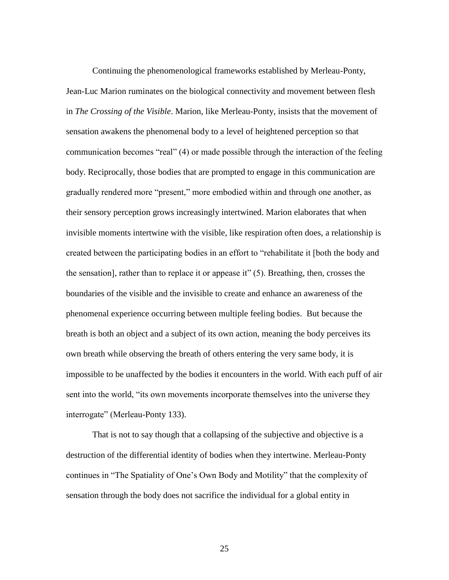Continuing the phenomenological frameworks established by Merleau-Ponty, Jean-Luc Marion ruminates on the biological connectivity and movement between flesh in *The Crossing of the Visible*. Marion, like Merleau-Ponty, insists that the movement of sensation awakens the phenomenal body to a level of heightened perception so that communication becomes "real" (4) or made possible through the interaction of the feeling body. Reciprocally, those bodies that are prompted to engage in this communication are gradually rendered more "present," more embodied within and through one another, as their sensory perception grows increasingly intertwined. Marion elaborates that when invisible moments intertwine with the visible, like respiration often does, a relationship is created between the participating bodies in an effort to "rehabilitate it [both the body and the sensation], rather than to replace it or appease it" (5). Breathing, then, crosses the boundaries of the visible and the invisible to create and enhance an awareness of the phenomenal experience occurring between multiple feeling bodies. But because the breath is both an object and a subject of its own action, meaning the body perceives its own breath while observing the breath of others entering the very same body, it is impossible to be unaffected by the bodies it encounters in the world. With each puff of air sent into the world, "its own movements incorporate themselves into the universe they interrogate" (Merleau-Ponty 133).

That is not to say though that a collapsing of the subjective and objective is a destruction of the differential identity of bodies when they intertwine. Merleau-Ponty continues in "The Spatiality of One's Own Body and Motility" that the complexity of sensation through the body does not sacrifice the individual for a global entity in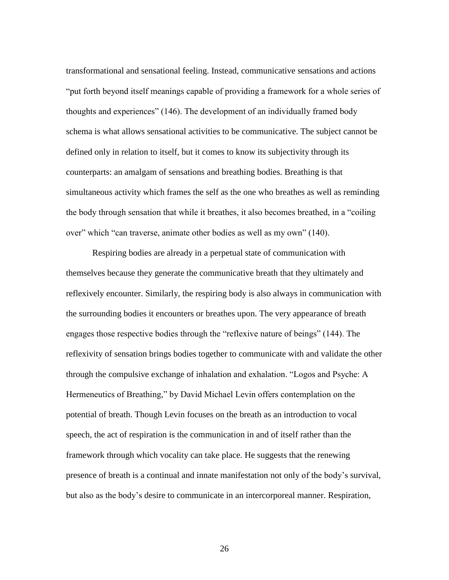transformational and sensational feeling. Instead, communicative sensations and actions "put forth beyond itself meanings capable of providing a framework for a whole series of thoughts and experiences" (146). The development of an individually framed body schema is what allows sensational activities to be communicative. The subject cannot be defined only in relation to itself, but it comes to know its subjectivity through its counterparts: an amalgam of sensations and breathing bodies. Breathing is that simultaneous activity which frames the self as the one who breathes as well as reminding the body through sensation that while it breathes, it also becomes breathed, in a "coiling over" which "can traverse, animate other bodies as well as my own" (140).

Respiring bodies are already in a perpetual state of communication with themselves because they generate the communicative breath that they ultimately and reflexively encounter. Similarly, the respiring body is also always in communication with the surrounding bodies it encounters or breathes upon. The very appearance of breath engages those respective bodies through the "reflexive nature of beings" (144). The reflexivity of sensation brings bodies together to communicate with and validate the other through the compulsive exchange of inhalation and exhalation. "Logos and Psyche: A Hermeneutics of Breathing," by David Michael Levin offers contemplation on the potential of breath. Though Levin focuses on the breath as an introduction to vocal speech, the act of respiration is the communication in and of itself rather than the framework through which vocality can take place. He suggests that the renewing presence of breath is a continual and innate manifestation not only of the body's survival, but also as the body's desire to communicate in an intercorporeal manner. Respiration,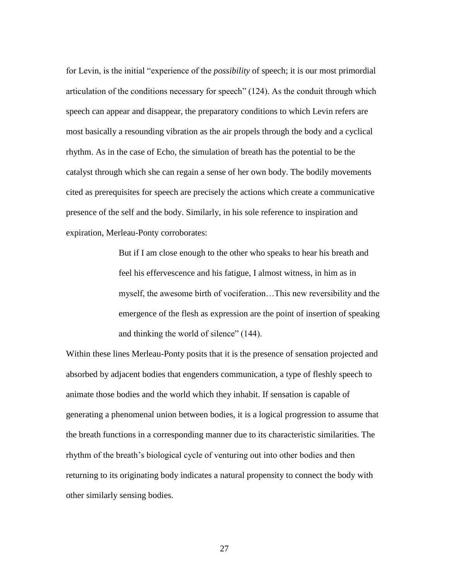for Levin, is the initial "experience of the *possibility* of speech; it is our most primordial articulation of the conditions necessary for speech" (124). As the conduit through which speech can appear and disappear, the preparatory conditions to which Levin refers are most basically a resounding vibration as the air propels through the body and a cyclical rhythm. As in the case of Echo, the simulation of breath has the potential to be the catalyst through which she can regain a sense of her own body. The bodily movements cited as prerequisites for speech are precisely the actions which create a communicative presence of the self and the body. Similarly, in his sole reference to inspiration and expiration, Merleau-Ponty corroborates:

> But if I am close enough to the other who speaks to hear his breath and feel his effervescence and his fatigue, I almost witness, in him as in myself, the awesome birth of vociferation…This new reversibility and the emergence of the flesh as expression are the point of insertion of speaking and thinking the world of silence" (144).

Within these lines Merleau-Ponty posits that it is the presence of sensation projected and absorbed by adjacent bodies that engenders communication, a type of fleshly speech to animate those bodies and the world which they inhabit. If sensation is capable of generating a phenomenal union between bodies, it is a logical progression to assume that the breath functions in a corresponding manner due to its characteristic similarities. The rhythm of the breath's biological cycle of venturing out into other bodies and then returning to its originating body indicates a natural propensity to connect the body with other similarly sensing bodies.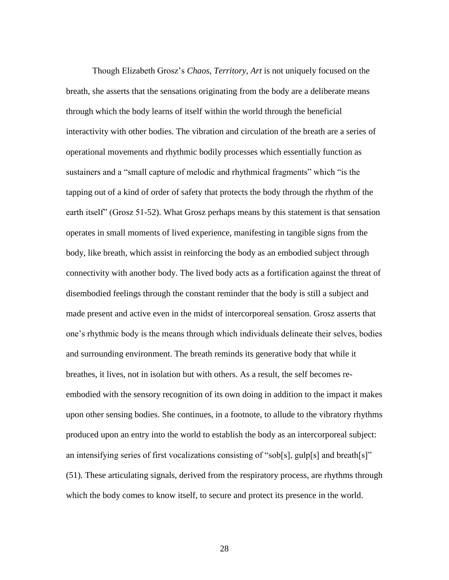Though Elizabeth Grosz's *Chaos, Territory, Art* is not uniquely focused on the breath, she asserts that the sensations originating from the body are a deliberate means through which the body learns of itself within the world through the beneficial interactivity with other bodies. The vibration and circulation of the breath are a series of operational movements and rhythmic bodily processes which essentially function as sustainers and a "small capture of melodic and rhythmical fragments" which "is the tapping out of a kind of order of safety that protects the body through the rhythm of the earth itself" (Grosz 51-52). What Grosz perhaps means by this statement is that sensation operates in small moments of lived experience, manifesting in tangible signs from the body, like breath, which assist in reinforcing the body as an embodied subject through connectivity with another body. The lived body acts as a fortification against the threat of disembodied feelings through the constant reminder that the body is still a subject and made present and active even in the midst of intercorporeal sensation. Grosz asserts that one's rhythmic body is the means through which individuals delineate their selves, bodies and surrounding environment. The breath reminds its generative body that while it breathes, it lives, not in isolation but with others. As a result, the self becomes reembodied with the sensory recognition of its own doing in addition to the impact it makes upon other sensing bodies. She continues, in a footnote, to allude to the vibratory rhythms produced upon an entry into the world to establish the body as an intercorporeal subject: an intensifying series of first vocalizations consisting of "sob[s], gulp[s] and breath[s]" (51). These articulating signals, derived from the respiratory process, are rhythms through which the body comes to know itself, to secure and protect its presence in the world.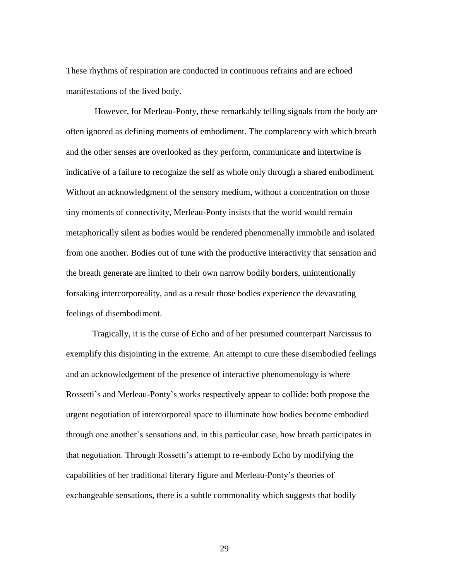These rhythms of respiration are conducted in continuous refrains and are echoed manifestations of the lived body.

However, for Merleau-Ponty, these remarkably telling signals from the body are often ignored as defining moments of embodiment. The complacency with which breath and the other senses are overlooked as they perform, communicate and intertwine is indicative of a failure to recognize the self as whole only through a shared embodiment. Without an acknowledgment of the sensory medium, without a concentration on those tiny moments of connectivity, Merleau-Ponty insists that the world would remain metaphorically silent as bodies would be rendered phenomenally immobile and isolated from one another. Bodies out of tune with the productive interactivity that sensation and the breath generate are limited to their own narrow bodily borders, unintentionally forsaking intercorporeality, and as a result those bodies experience the devastating feelings of disembodiment.

Tragically, it is the curse of Echo and of her presumed counterpart Narcissus to exemplify this disjointing in the extreme. An attempt to cure these disembodied feelings and an acknowledgement of the presence of interactive phenomenology is where Rossetti's and Merleau-Ponty's works respectively appear to collide: both propose the urgent negotiation of intercorporeal space to illuminate how bodies become embodied through one another's sensations and, in this particular case, how breath participates in that negotiation. Through Rossetti's attempt to re-embody Echo by modifying the capabilities of her traditional literary figure and Merleau-Ponty's theories of exchangeable sensations, there is a subtle commonality which suggests that bodily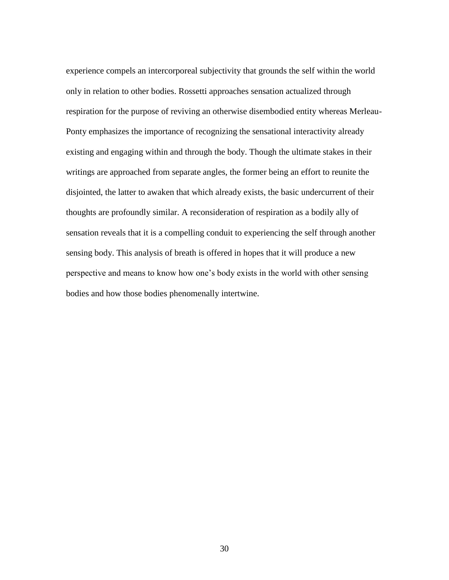experience compels an intercorporeal subjectivity that grounds the self within the world only in relation to other bodies. Rossetti approaches sensation actualized through respiration for the purpose of reviving an otherwise disembodied entity whereas Merleau-Ponty emphasizes the importance of recognizing the sensational interactivity already existing and engaging within and through the body. Though the ultimate stakes in their writings are approached from separate angles, the former being an effort to reunite the disjointed, the latter to awaken that which already exists, the basic undercurrent of their thoughts are profoundly similar. A reconsideration of respiration as a bodily ally of sensation reveals that it is a compelling conduit to experiencing the self through another sensing body. This analysis of breath is offered in hopes that it will produce a new perspective and means to know how one's body exists in the world with other sensing bodies and how those bodies phenomenally intertwine.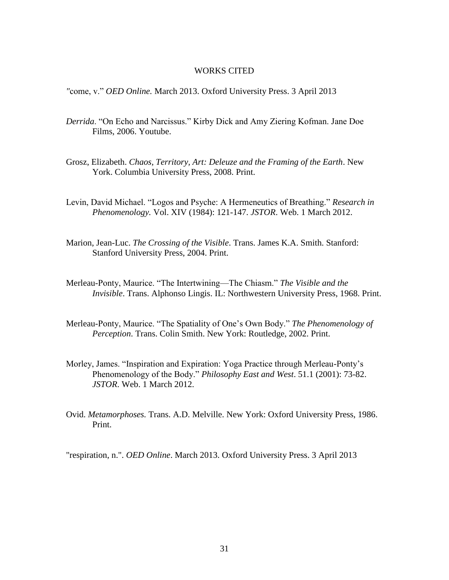#### WORKS CITED

*"*come, v." *OED Online.* March 2013. Oxford University Press. 3 April 2013

- *Derrida*. "On Echo and Narcissus." Kirby Dick and Amy Ziering Kofman. Jane Doe Films, 2006. Youtube.
- Grosz, Elizabeth. *Chaos, Territory, Art: Deleuze and the Framing of the Earth*. New York. Columbia University Press, 2008. Print.
- Levin, David Michael. "Logos and Psyche: A Hermeneutics of Breathing." *Research in Phenomenology.* Vol. XIV (1984): 121-147. *JSTOR*. Web. 1 March 2012.
- Marion, Jean-Luc. *The Crossing of the Visible*. Trans. James K.A. Smith. Stanford: Stanford University Press, 2004. Print.
- Merleau-Ponty, Maurice. "The Intertwining—The Chiasm." *The Visible and the Invisible*. Trans. Alphonso Lingis. IL: Northwestern University Press, 1968. Print.
- Merleau-Ponty, Maurice. "The Spatiality of One's Own Body." *The Phenomenology of Perception*. Trans. Colin Smith. New York: Routledge, 2002. Print.
- Morley, James. "Inspiration and Expiration: Yoga Practice through Merleau-Ponty's Phenomenology of the Body." *Philosophy East and West*. 51.1 (2001): 73-82. *JSTOR*. Web. 1 March 2012.
- Ovid. *Metamorphoses.* Trans. A.D. Melville. New York: Oxford University Press, 1986. Print.

"respiration, n.". *OED Online*. March 2013. Oxford University Press. 3 April 2013